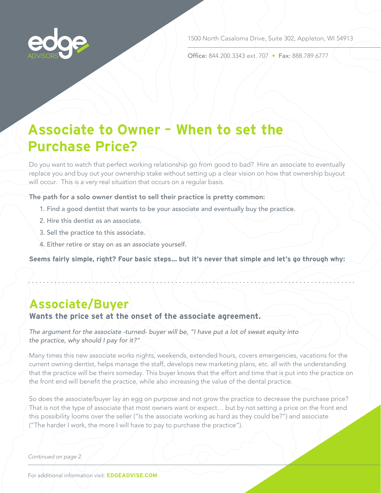

1500 North Casaloma Drive, Suite 302, Appleton, WI 54913

Office: 844.200.3343 ext. 707 • Fax: 888.789.6777

# **Associate to Owner – When to set the Purchase Price?**

Do you want to watch that perfect working relationship go from good to bad? Hire an associate to eventually replace you and buy out your ownership stake without setting up a clear vision on how that ownership buyout will occur. This is a very real situation that occurs on a regular basis.

#### The path for a solo owner dentist to sell their practice is pretty common:

- 1. Find a good dentist that wants to be your associate and eventually buy the practice.
- 2. Hire this dentist as an associate.
- 3. Sell the practice to this associate.
- 4. Either retire or stay on as an associate yourself.

**Seems fairly simple, right? Four basic steps… but it's never that simple and let's go through why:**

## **Associate/Buyer**

## **Wants the price set at the onset of the associate agreement.**

*The argument for the associate -turned- buyer will be, "I have put a lot of sweat equity into the practice, why should I pay for it?"*

Many times this new associate works nights, weekends, extended hours, covers emergencies, vacations for the current owning dentist, helps manage the staff, develops new marketing plans, etc. all with the understanding that the practice will be theirs someday. This buyer knows that the effort and time that is put into the practice on the front end will benefit the practice, while also increasing the value of the dental practice.

So does the associate/buyer lay an egg on purpose and not grow the practice to decrease the purchase price? That is not the type of associate that most owners want or expect... but by not setting a price on the front end this possibility looms over the seller ("Is the associate working as hard as they could be?") and associate ("The harder I work, the more I will have to pay to purchase the practice").

#### *Continued on page 2.*